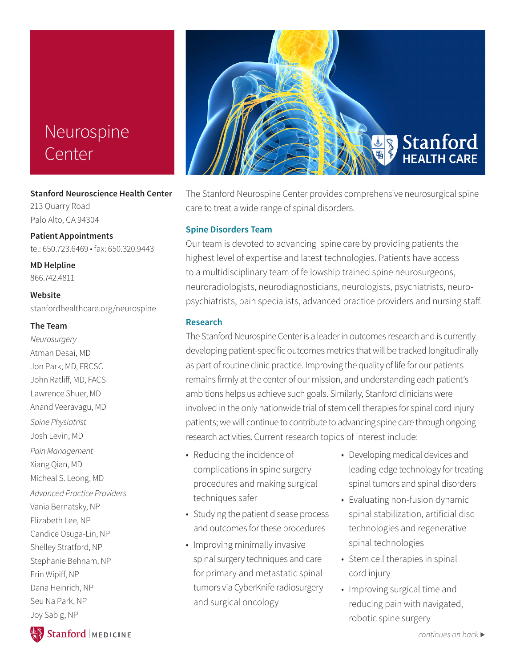# Neurospine Center

#### **Stanford Neuroscience Health Center**

213 Quarry Road Palo Alto, CA 94304

**Patient Appointments** tel: 650.723.6469 • fax: 650.320.9443

**MD Helpline** 866.742.4811

**Website** stanfordhealthcare.org/neurospine

#### **The Team**

*Neurosurgery* Atman Desai, MD Jon Park, MD, FRCSC John Ratliff, MD, FACS Lawrence Shuer, MD Anand Veeravagu, MD *Spine Physiatrist* Josh Levin, MD *Pain Management* Xiang Qian, MD Micheal S. Leong, MD *Advanced Practice Providers* Vania Bernatsky, NP Elizabeth Lee, NP Candice Osuga-Lin, NP Shelley Stratford, NP Stephanie Behnam, NP Erin Wipiff, NP Dana Heinrich, NP Seu Na Park, NP Joy Sabig, NP



The Stanford Neurospine Center provides comprehensive neurosurgical spine care to treat a wide range of spinal disorders.

### **Spine Disorders Team**

Our team is devoted to advancing spine care by providing patients the highest level of expertise and latest technologies. Patients have access to a multidisciplinary team of fellowship trained spine neurosurgeons, neuroradiologists, neurodiagnosticians, neurologists, psychiatrists, neuropsychiatrists, pain specialists, advanced practice providers and nursing staff.

### **Research**

The Stanford Neurospine Center is a leader in outcomes research and is currently developing patient-specific outcomes metrics that will be tracked longitudinally as part of routine clinic practice. Improving the quality of life for our patients remains firmly at the center of our mission, and understanding each patient's ambitions helps us achieve such goals. Similarly, Stanford clinicians were involved in the only nationwide trial of stem cell therapies for spinal cord injury patients; we will continue to contribute to advancing spine care through ongoing research activities. Current research topics of interest include:

- Reducing the incidence of complications in spine surgery procedures and making surgical techniques safer
- Studying the patient disease process and outcomes for these procedures
- Improving minimally invasive spinal surgery techniques and care for primary and metastatic spinal tumors via CyberKnife radiosurgery and surgical oncology
- Developing medical devices and leading-edge technology for treating spinal tumors and spinal disorders
- Evaluating non-fusion dynamic spinal stabilization, artificial disc technologies and regenerative spinal technologies
- Stem cell therapies in spinal cord injury
- Improving surgical time and reducing pain with navigated, robotic spine surgery

Stanford | MEDICINE